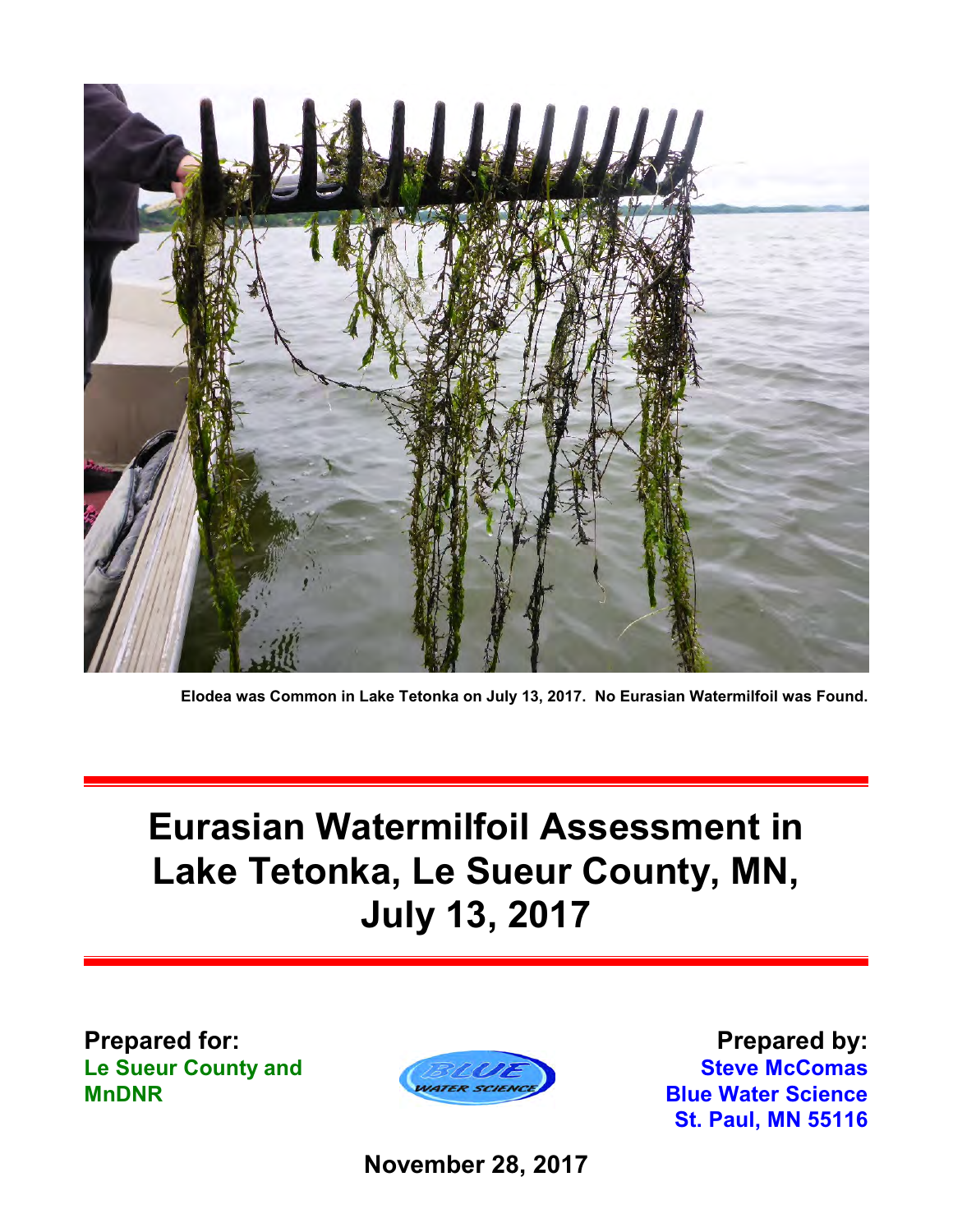

**Elodea was Common in Lake Tetonka on July 13, 2017. No Eurasian Watermilfoil was Found.**

# **Eurasian Watermilfoil Assessment in Lake Tetonka, Le Sueur County, MN, July 13, 2017**

**Prepared for: Le Sueur County and MnDNR**



**Prepared by: Steve McComas Blue Water Science St. Paul, MN 55116**

**November 28, 2017**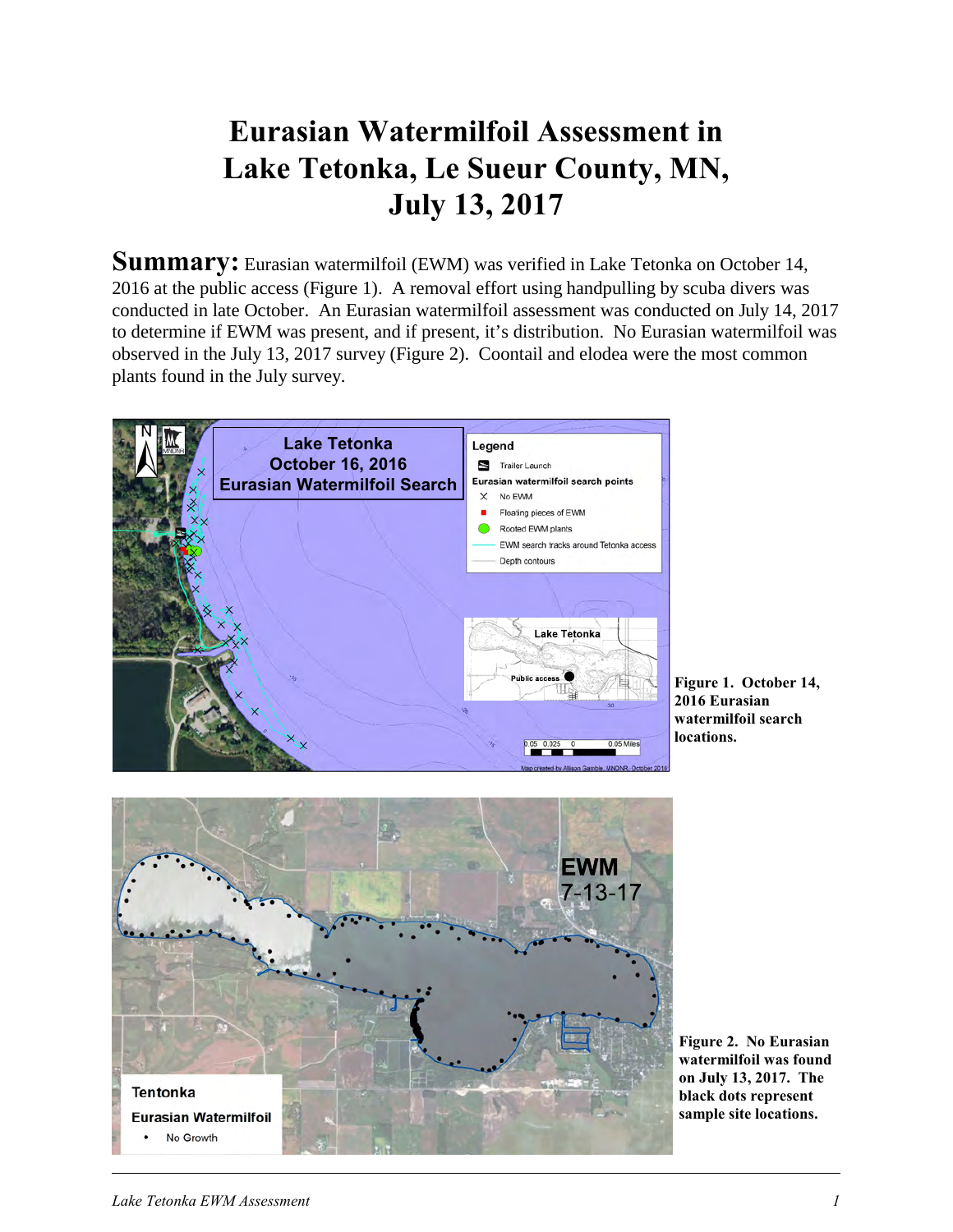## **Eurasian Watermilfoil Assessment in Lake Tetonka, Le Sueur County, MN, July 13, 2017**

**Summary:** Eurasian watermilfoil (EWM) was verified in Lake Tetonka on October 14, 2016 at the public access (Figure 1). A removal effort using handpulling by scuba divers was conducted in late October. An Eurasian watermilfoil assessment was conducted on July 14, 2017 to determine if EWM was present, and if present, it's distribution. No Eurasian watermilfoil was observed in the July 13, 2017 survey (Figure 2). Coontail and elodea were the most common plants found in the July survey.



**Figure 1. October 14, 2016 Eurasian watermilfoil search locations.** 



**Figure 2. No Eurasian watermilfoil was found on July 13, 2017. The black dots represent sample site locations.**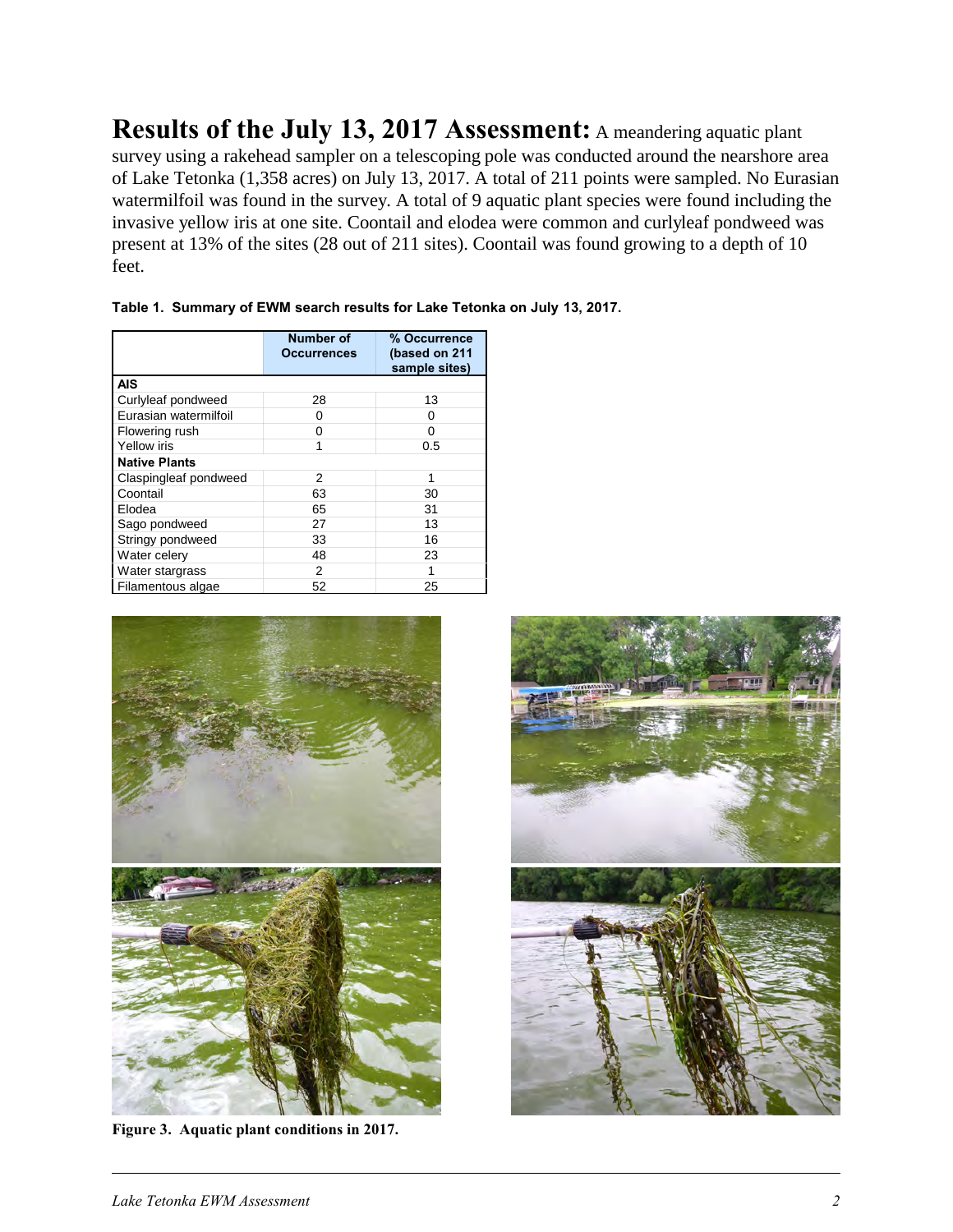**Results of the July 13, 2017 Assessment:** A meandering aquatic plant survey using a rakehead sampler on a telescoping pole was conducted around the nearshore area of Lake Tetonka (1,358 acres) on July 13, 2017. A total of 211 points were sampled. No Eurasian watermilfoil was found in the survey. A total of 9 aquatic plant species were found including the invasive yellow iris at one site. Coontail and elodea were common and curlyleaf pondweed was present at 13% of the sites (28 out of 211 sites). Coontail was found growing to a depth of 10 feet.

|                       | Number of<br>Occurrences | % Occurrence<br>(based on 211<br>sample sites) |
|-----------------------|--------------------------|------------------------------------------------|
| <b>AIS</b>            |                          |                                                |
| Curlyleaf pondweed    | 28                       | 13                                             |
| Eurasian watermilfoil | 0                        | Ω                                              |
| Flowering rush        | 0                        | 0                                              |
| <b>Yellow</b> iris    |                          | 0.5                                            |
| <b>Native Plants</b>  |                          |                                                |
| Claspingleaf pondweed | 2                        | 1                                              |
| Coontail              | 63                       | 30                                             |
| Elodea                | 65                       | 31                                             |
| Sago pondweed         | 27                       | 13                                             |
| Stringy pondweed      | 33                       | 16                                             |
| Water celery          | 48                       | 23                                             |
| Water stargrass       | 2                        |                                                |
| Filamentous algae     | 52                       | 25                                             |

| Table 1. Summary of EWM search results for Lake Tetonka on July 13, 2017. |  |  |  |  |
|---------------------------------------------------------------------------|--|--|--|--|
|                                                                           |  |  |  |  |



**Figure 3. Aquatic plant conditions in 2017.**

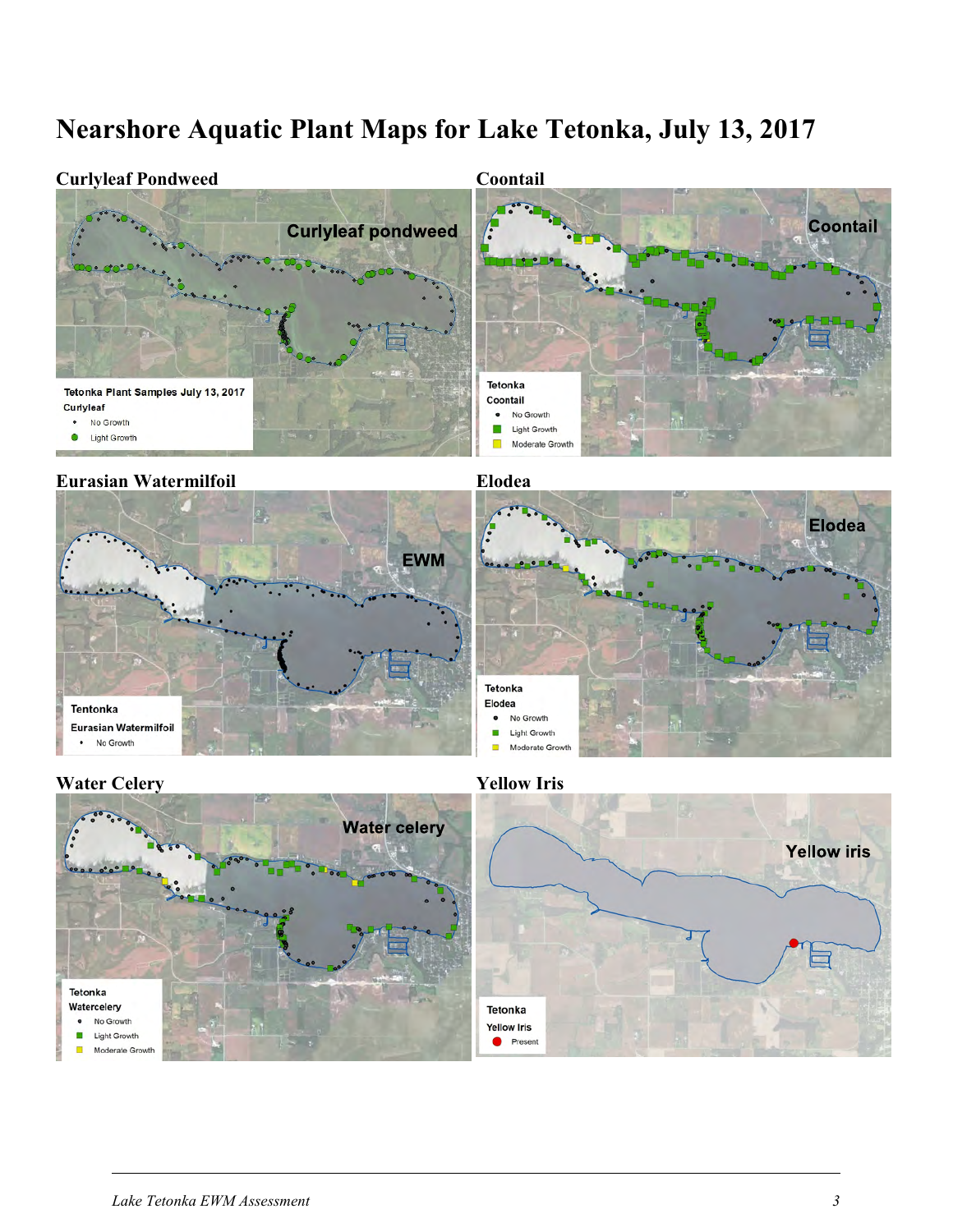### **Nearshore Aquatic Plant Maps for Lake Tetonka, July 13, 2017**







*Lake Tetonka EWM Assessment 3*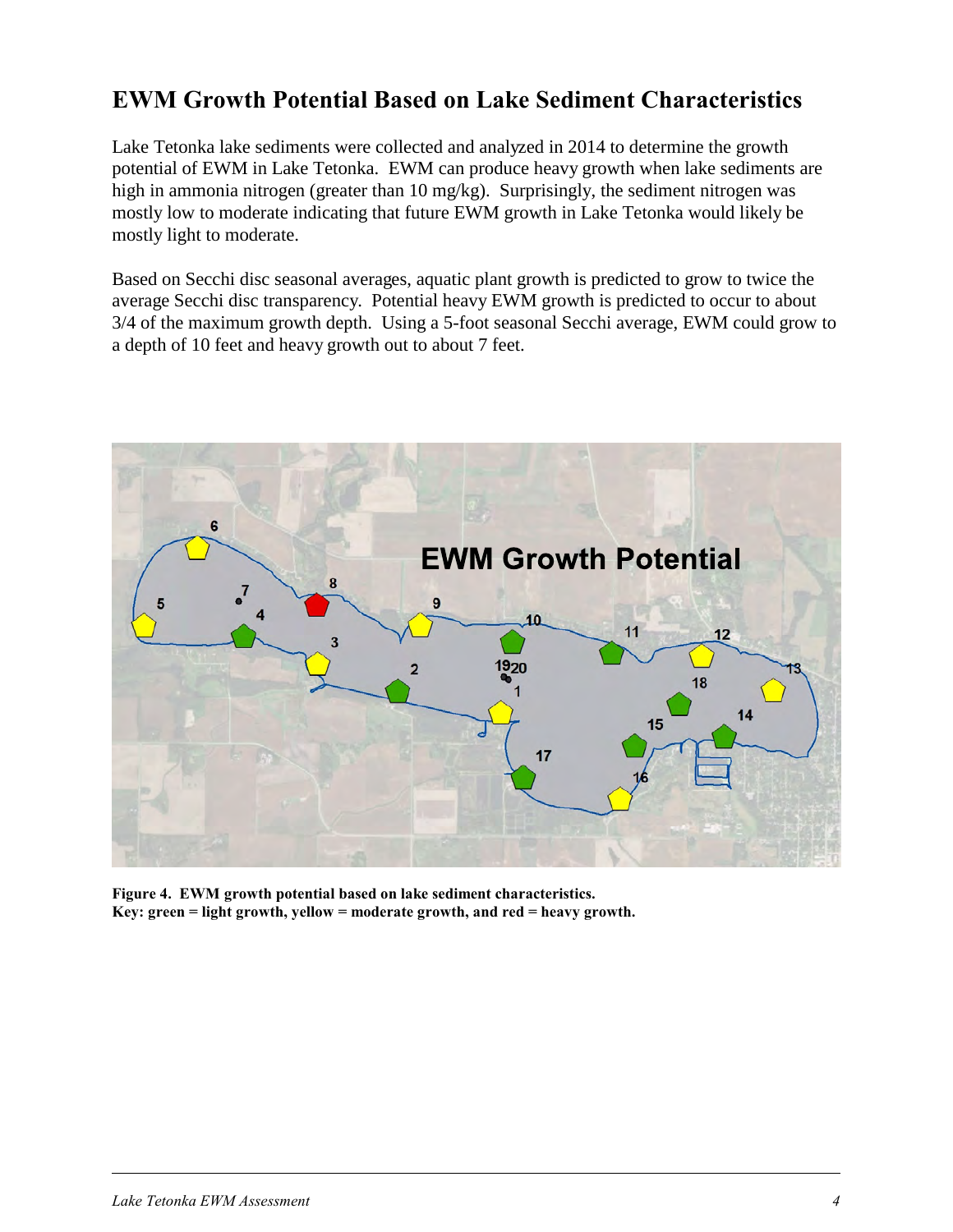#### **EWM Growth Potential Based on Lake Sediment Characteristics**

Lake Tetonka lake sediments were collected and analyzed in 2014 to determine the growth potential of EWM in Lake Tetonka. EWM can produce heavy growth when lake sediments are high in ammonia nitrogen (greater than 10 mg/kg). Surprisingly, the sediment nitrogen was mostly low to moderate indicating that future EWM growth in Lake Tetonka would likely be mostly light to moderate.

Based on Secchi disc seasonal averages, aquatic plant growth is predicted to grow to twice the average Secchi disc transparency. Potential heavy EWM growth is predicted to occur to about 3/4 of the maximum growth depth. Using a 5-foot seasonal Secchi average, EWM could grow to a depth of 10 feet and heavy growth out to about 7 feet.



**Figure 4. EWM growth potential based on lake sediment characteristics. Key: green = light growth, yellow = moderate growth, and red = heavy growth.**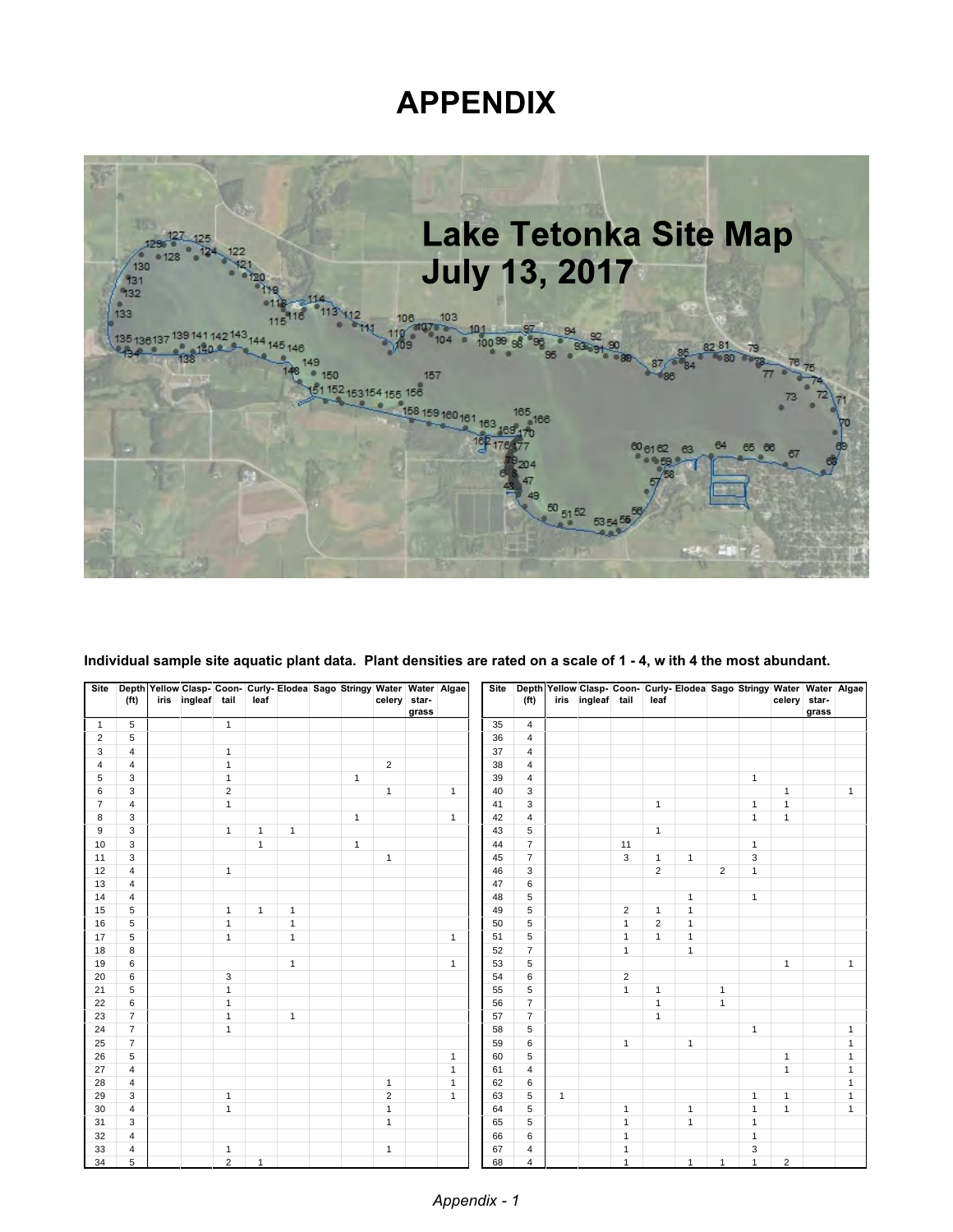## **APPENDIX**



| Site           | (f <sup>t</sup> )                | iris | ingleaf tail |                | leaf           |              | Depth Yellow Clasp- Coon- Curly- Elodea Sago Stringy Water   Water   Algae | celery star-   | grass |              | Site     | (f <sup>t</sup> ) |              | Depth Yellow Clasp- Coon- Curly- Elodea Sago Stringy Water   Water Algae<br>iris ingleaf tail |                | leaf           |                                |                |              | celery         | star-<br>grass |                |
|----------------|----------------------------------|------|--------------|----------------|----------------|--------------|----------------------------------------------------------------------------|----------------|-------|--------------|----------|-------------------|--------------|-----------------------------------------------------------------------------------------------|----------------|----------------|--------------------------------|----------------|--------------|----------------|----------------|----------------|
| 1              | 5                                |      |              | $\overline{1}$ |                |              |                                                                            |                |       |              | 35       | $\overline{4}$    |              |                                                                                               |                |                |                                |                |              |                |                |                |
| $\overline{2}$ | 5                                |      |              |                |                |              |                                                                            |                |       |              | 36       | $\overline{4}$    |              |                                                                                               |                |                |                                |                |              |                |                |                |
| 3              | $\overline{4}$                   |      |              | $\overline{1}$ |                |              |                                                                            |                |       |              | 37       | $\overline{4}$    |              |                                                                                               |                |                |                                |                |              |                |                |                |
| $\sqrt{4}$     | $\overline{4}$                   |      |              | $\overline{1}$ |                |              |                                                                            | $\overline{2}$ |       |              | 38       | $\overline{4}$    |              |                                                                                               |                |                |                                |                |              |                |                |                |
| 5              | 3                                |      |              | $\overline{1}$ |                |              | $\mathbf{1}$                                                               |                |       |              | 39       | $\overline{4}$    |              |                                                                                               |                |                |                                |                | $\mathbf{1}$ |                |                |                |
| 6              | 3                                |      |              | $\overline{2}$ |                |              |                                                                            | $\mathbf{1}$   |       | $\mathbf{1}$ | 40       | 3                 |              |                                                                                               |                |                |                                |                |              | $\mathbf{1}$   |                | $\mathbf{1}$   |
| $\overline{7}$ | $\overline{4}$                   |      |              | $\overline{1}$ |                |              |                                                                            |                |       |              | 41       | 3                 |              |                                                                                               |                | $\mathbf{1}$   |                                |                | $\mathbf{1}$ | $\mathbf{1}$   |                |                |
| 8              | 3                                |      |              |                |                |              | $\mathbf{1}$                                                               |                |       | $\mathbf{1}$ | 42       | $\overline{4}$    |              |                                                                                               |                |                |                                |                | $\mathbf{1}$ | $\mathbf{1}$   |                |                |
| 9              | 3                                |      |              | $\mathbf{1}$   | $\overline{1}$ | $\mathbf{1}$ |                                                                            |                |       |              | 43       | 5                 |              |                                                                                               |                | $\overline{1}$ |                                |                |              |                |                |                |
| 10             | 3                                |      |              |                | $\overline{1}$ |              | $\mathbf{1}$                                                               |                |       |              | 44       | $\overline{7}$    |              |                                                                                               | 11             |                |                                |                | $\mathbf{1}$ |                |                |                |
| 11             | 3                                |      |              |                |                |              |                                                                            | $\mathbf{1}$   |       |              | 45       | $\overline{7}$    |              |                                                                                               | 3              | $\overline{1}$ | $\mathbf{1}$                   |                | 3            |                |                |                |
| 12             | $\overline{4}$                   |      |              | $\overline{1}$ |                |              |                                                                            |                |       |              | 46       | 3                 |              |                                                                                               |                | 2              |                                | $\overline{2}$ | $\mathbf{1}$ |                |                |                |
| 13<br>14       | $\overline{4}$<br>$\overline{4}$ |      |              |                |                |              |                                                                            |                |       |              | 47<br>48 | 6<br>5            |              |                                                                                               |                |                |                                |                | $\mathbf{1}$ |                |                |                |
| 15             | 5                                |      |              | $\overline{1}$ | $\overline{1}$ | $\mathbf{1}$ |                                                                            |                |       |              | 49       | 5                 |              |                                                                                               | $\overline{2}$ | $\overline{1}$ | $\mathbf{1}$<br>$\overline{1}$ |                |              |                |                |                |
| 16             | $\overline{5}$                   |      |              | $\mathbf{1}$   |                | $\mathbf{1}$ |                                                                            |                |       |              | 50       | $\sqrt{5}$        |              |                                                                                               | $\overline{1}$ | $\overline{2}$ | $\mathbf{1}$                   |                |              |                |                |                |
| 17             | 5                                |      |              | $\mathbf{1}$   |                | $\mathbf{1}$ |                                                                            |                |       | $\mathbf{1}$ | 51       | 5                 |              |                                                                                               | $\mathbf{1}$   | $\overline{1}$ | $\mathbf{1}$                   |                |              |                |                |                |
| 18             | 8                                |      |              |                |                |              |                                                                            |                |       |              | 52       | $\overline{7}$    |              |                                                                                               | $\mathbf{1}$   |                | $\mathbf{1}$                   |                |              |                |                |                |
| 19             | 6                                |      |              |                |                | $\mathbf{1}$ |                                                                            |                |       | $\mathbf{1}$ | 53       | 5                 |              |                                                                                               |                |                |                                |                |              | $\mathbf{1}$   |                | $\mathbf{1}$   |
| 20             | 6                                |      |              | 3              |                |              |                                                                            |                |       |              | 54       | 6                 |              |                                                                                               | $\overline{2}$ |                |                                |                |              |                |                |                |
| 21             | 5                                |      |              | $\overline{1}$ |                |              |                                                                            |                |       |              | 55       | $\sqrt{5}$        |              |                                                                                               | $\mathbf{1}$   | $\mathbf{1}$   |                                | $\mathbf{1}$   |              |                |                |                |
| 22             | 6                                |      |              | $\overline{1}$ |                |              |                                                                            |                |       |              | 56       | $\overline{7}$    |              |                                                                                               |                | $\overline{1}$ |                                | $\mathbf{1}$   |              |                |                |                |
| 23             | $\overline{7}$                   |      |              | $\mathbf{1}$   |                | $\mathbf{1}$ |                                                                            |                |       |              | 57       | $\overline{7}$    |              |                                                                                               |                | $\overline{1}$ |                                |                |              |                |                |                |
| 24             | $\overline{7}$                   |      |              | $\mathbf{1}$   |                |              |                                                                            |                |       |              | 58       | 5                 |              |                                                                                               |                |                |                                |                | $\mathbf{1}$ |                |                | $\mathbf{1}$   |
| 25             | $\overline{7}$                   |      |              |                |                |              |                                                                            |                |       |              | 59       | 6                 |              |                                                                                               | $\mathbf{1}$   |                | $\mathbf{1}$                   |                |              |                |                | $\overline{1}$ |
| 26             | 5                                |      |              |                |                |              |                                                                            |                |       | $\mathbf{1}$ | 60       | 5                 |              |                                                                                               |                |                |                                |                |              | $\mathbf{1}$   |                | $\mathbf{1}$   |
| 27             | $\overline{4}$                   |      |              |                |                |              |                                                                            |                |       | $\mathbf{1}$ | 61       | $\overline{4}$    |              |                                                                                               |                |                |                                |                |              | $\mathbf{1}$   |                | $\overline{1}$ |
| 28             | $\overline{4}$                   |      |              |                |                |              |                                                                            | $\mathbf{1}$   |       | $\mathbf{1}$ | 62       | 6                 |              |                                                                                               |                |                |                                |                |              |                |                | $\overline{1}$ |
| 29             | 3                                |      |              | $\overline{1}$ |                |              |                                                                            | $\overline{c}$ |       | $\mathbf{1}$ | 63       | 5                 | $\mathbf{1}$ |                                                                                               |                |                |                                |                | $\mathbf{1}$ | $\mathbf{1}$   |                | $\mathbf{1}$   |
| 30             | $\overline{4}$                   |      |              | $\overline{1}$ |                |              |                                                                            | $\mathbf{1}$   |       |              | 64       | $\sqrt{5}$        |              |                                                                                               | $\mathbf{1}$   |                | $\mathbf{1}$                   |                | $\mathbf{1}$ | $\mathbf{1}$   |                | $\mathbf{1}$   |
| 31             | 3                                |      |              |                |                |              |                                                                            | $\mathbf{1}$   |       |              | 65       | 5                 |              |                                                                                               | $\mathbf{1}$   |                | $\mathbf{1}$                   |                | $\mathbf{1}$ |                |                |                |
| 32             | $\overline{4}$                   |      |              |                |                |              |                                                                            |                |       |              | 66       | 6                 |              |                                                                                               | $\mathbf{1}$   |                |                                |                | $\mathbf{1}$ |                |                |                |
| 33             | $\overline{4}$                   |      |              | $\overline{1}$ |                |              |                                                                            | $\mathbf{1}$   |       |              | 67       | $\overline{4}$    |              |                                                                                               | $\mathbf{1}$   |                |                                |                | 3            |                |                |                |
| 34             | 5                                |      |              | 2              | $\overline{1}$ |              |                                                                            |                |       |              | 68       | $\overline{4}$    |              |                                                                                               | $\overline{1}$ |                | $\mathbf{1}$                   |                | $\mathbf{1}$ | $\overline{2}$ |                |                |

**Individual sample site aquatic plant data. Plant densities are rated on a scale of 1 - 4, w ith 4 the most abundant.**